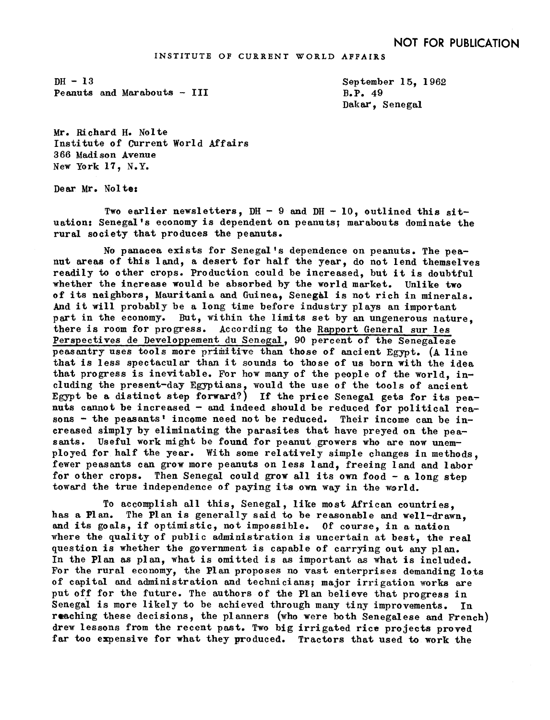$DH - 13$ Peanuts and Marabouts - III

September 15, 1962  $B.P. 49$ Dakar, Senegal

Mr. Richard H. Nolte Institute of Current World Affairs 3 66 Madi son Avenue New York 17, N.Y.

Dear Mr. Nolte:

Two earlier newsletters.  $DH - 9$  and  $DH - 10$ , outlined this situation: Senegal's economy is dependent on peanuts; marabouts dominate the rural society that produces the peanuts.

No panacea exists for Senegal's dependence on peanuts. The peanut areas of this land, a desert for half the year, do not lend themselves readily to other crops. Production could be increased, but it is doubtful whether the increase would be absorbed by the world market. Unlike two of its neighbors, Mauritania and Guinea, Senegal is not rich in minerals. And it will. probably be a long time before industry plays an important part in the economy. But, within the limits set by an ungenerous nature. there is room for progress. According to the Rapport General sur les Perspectives de Developpement du Senegal, 90 percent of the Senegalese peasantry uses tools more primitive than those of ancient Egypt. (A line that is less spectacular than it sounds to those of us born with the idea that progress is inevitable. For how many of the people of the world,  $i$ ncluding the present-day Egyptians, would the use of the tools of ancient Egypt be a distinct step forward?) If the price Senegal gets for its peanuts cannot be increased  $-$  and indeed should be reduced for political reasons  $-$  the peasants' income need not be reduced. Their income can be increased simply by eliminating the parasites that have preyed on the peasants. Useful work might be found for peanut growers who are now unemployed for half the year. With some relatively simple changes in methods, fewer peasants can grow more peanuts on less land, freeing land and labor for other crops. Then Senegal could grow all its own food  $-$  a long step toward the true independence of paying its own way in the world.

To accomplish all this, Senegal, like most African countries. has a Plan. The Plan is generally said to be reasonable and well-drawn. and its goals, if optimistic, not impossible. Of course, in a nation where the quality of public administration is uncertain at best, the real question is whether the government is capable of carrying out any plan. In the Plan as plan, what is omitted is as important as what is included For the rural economy, the Plan proposes no vast enterprises demanding lots of capital and administration and technicians; major irrigation works are put off for the future. The authors of the Plan believe that progress in Senegal is more likely to be achieved through many tiny improvements. In reaching these decisions, the planners (who were both Senegalese and French) drew lessons from the recent past. Two big irrigated rice projects proved far too expensive for what they produced. Tractors that used to work the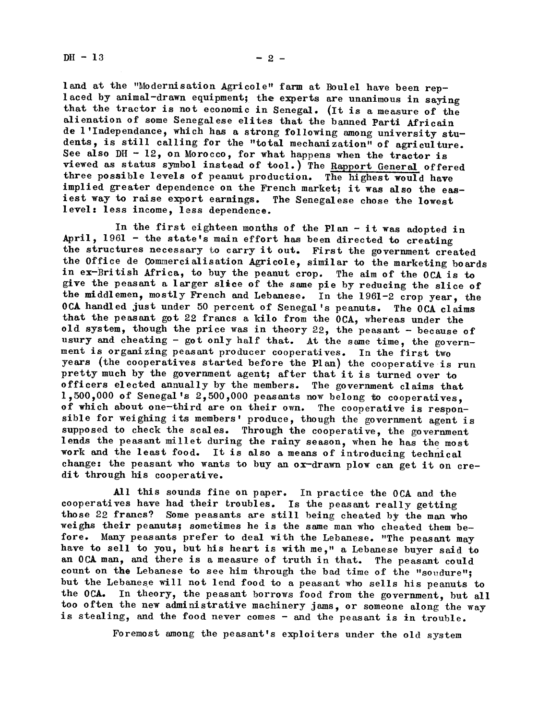$DH - 13$ 

land at the "Modernisation Agricole" farm at Boulel have been replaced by animal-drawn equipment; the experts are unanimous in saying that the tractor is not economic in Senegal. (It is a measure of the alienation of some Senegalese elites that the banned Parti Africain de l'Independance, which has a strong following among university students, is still calling for the "total mechanization" of agriculture. See also  $DH - 12$ , on Morocco, for what happens when the tractor is viewed as status symbol instead of tool.) The Rapport General offered three possible levels of peanut production. The highest would have implied greater dependence on the French market; it was also the easiest way to raise export earnings. The Senegalese chose the lowest level: less income, less dependence.

In the first eighteen months of the Plan - it was adopted in April, 1961 - the state's main effort has been directed to creating the structures necessary to carry it out. First the government created the Office de Commercialisation Agricole, similar to the marketing boards in ex-British Africa, to buy the peanut crop. The aim of the OCA is to give the peasant a larger slice of the same pie by reducing the slice of the middlemen, mostly French and Lebanese. In the 1961-2 crop year, the OCA handled just under 50 percent of Senegal's peanuts. The OCA claims that the peasant got 22 francs a kilo from the OCA, whereas under the old system, though the price was in theory 22, the peasant - because of usury and cheating - got only half that. At the same time, the government is organizing peasant producer cooperatives. In the first two years (the cooperatives started before the Plan) the cooperative is run pretty much by the government agent; after that it is turned over to officers elected annually by the members. The government claims that 1.500.000 of Senegal's 2,500,000 peasants now belong to cooperatives. of which about one-third are on their own. The cooperative is responsible for weighing its members' produce, though the government agent is supposed to check the scales. Through the cooperative, the government lends the peasant millet during the rainy season, when he has the most work and the least food. It is also a means of introducing technical change: the peasant who wants to buy an ox-drawn plow can get it on credit through his cooperative.

All this sounds fine on paper. In practice the OCA and the cooperatives have had their troubles. Is the peasant really getting those 22 francs? Some peasants are still being cheated by the man who weighs their peanuts; sometimes he is the same man who cheated them before. Many peasants prefer to deal with the Lebanese. "The peasant may have to sell to you, but his heart is with me," a Lebanese buyer said to an OCA man, and there is a measure of truth in that. The peasant could count on the Lebanese to see him through the bad time of the "soudure"; but the Lebanese will not lend food to a peasant who sells his peanuts to the OCA. In theory, the peasant borrows food from the government, but all too often the new administrative machinery jams, or someone along the way is stealing, and the food never comes - and the peasant is in trouble.

Foremost among the peasant's exploiters under the old system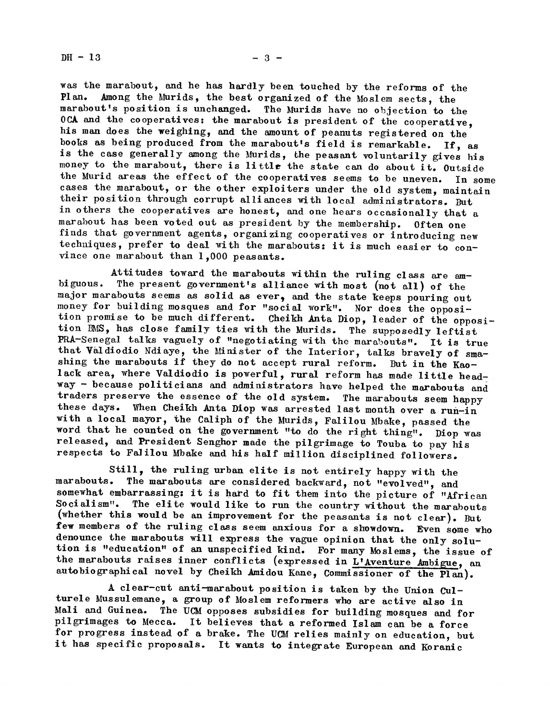$DH - 13$   $-3$   $-$ 

was the marabout, and he has hardly been touched by the reforms of the Plan. Among the Murids, the best organized of the Moslem sects the Among the Murids, the best organized of the Moslem sects, the marabout's position is unchanged. The Murids have no objection to the OCA and the cooperatives: the marabout is president of the cooperative. his man does the weighing, and the amount of peanuts registered on the books as being produced from the marabout's field is remarkable. If, as is the case generally among the Murids, the peasant voluntarily gives his money to the marabout, there is little the state can do about it. Outside the Murid areas the effect of the cooperatives seems to be uneven. In some cases the marabout, or the other exploiters under the old system, maintain their position through corrupt alliances with local administrators. But in others the cooperatives are honest, and one hears occasionally that a marabout has been voted out as president by the membership. Often one marabout has been voted out as president by the membership. finds that government agents, organizing cooperatives or introducing new techniques, prefer to deal with the marabouts: it is much easier to convince one marabout than 1,000 peasants.

Attitudes toward the marabouts within the ruling class are ambiguous. The present government's alliance with most (not all) of the major marabouts seems as solid as ever, and the state keeps pouring out money for building mosques and for "social work". Nor does the opposi-<br>tion promise to be much different. Cheikh Anta Diop. leader of the opposi-Cheikh Anta Diop, leader of the opposition BMS, has close family ties with the Murids. The supposedly leftist PRA-Senegal talks vaguely of "negotiating with the marabouts". It is true that Valdiodio Ndiaye, the Minister of the Interior, talks bravely of smashing the marabouts if they do not accept rural reform. But in the Kaolack area, where Valdiodio is powerful, rural reform has made little headway- because politicians and administrators have helped the marabouts and traders preserve the essence of the old system. The marabouts seem happy these days. When Cheikh Anta Diop was arrested last month over a run-in with a local mayor, the Caliph of the Murids, Falilou Mbake, passed the word that he counted on the government "to do the right thing". Diop was released, and President Senghor made the pilgrimage to Touba to pay his respects to Falilou Mbake and his half million disciplined followers.

Still, the ruling urban elite is not entirely happy with the marabouts. The marabouts are considered backward, not "evolved", and somewhat embarrassing: it is hard to fit them into the picture of "African Socialism". The elite would like to run the country without the marabouts (whether this would be an improvement for the peasants is not clear). But few members of the ruling class seem anxious for a showdown. Even some who denounce the marabouts will express the vague opinion that the only solution is "education" of an unspecified kind. For many Moslems, the issue of the marabouts raises inner conflicts (expressed in L'Aventure Ambigue, an autobiographical novel by Cheikh Amidou Kane, Commissioner of the Plan).

A clear-cut anti-marabout position is taken by the Union Culturele Mussulemane, a group of Moslem reformers who are active also in Mali and Guinea. The UCM opposes subsidies for building mosques and for pilgrimages to Mecca. It believes that <sup>a</sup> reformed Islam can be <sup>a</sup> force for progress instead of a brake. The UCM relies mainly on education, but it has specific proposals. It wants to integrate European and Koranic